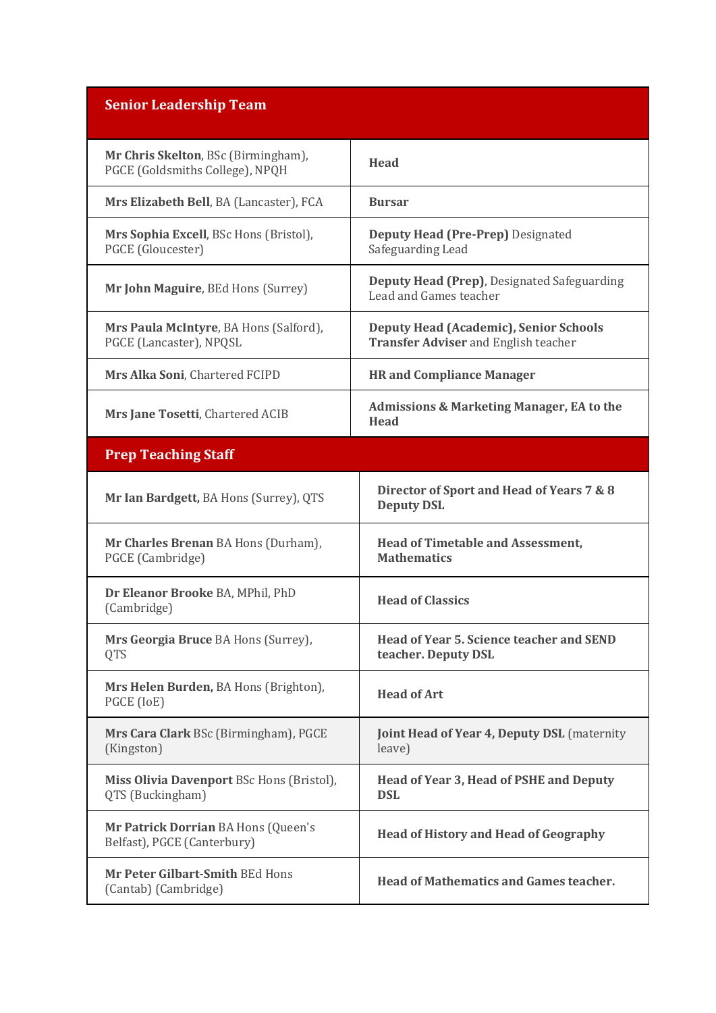| <b>Senior Leadership Team</b>                                          |                                                                                       |
|------------------------------------------------------------------------|---------------------------------------------------------------------------------------|
| Mr Chris Skelton, BSc (Birmingham),<br>PGCE (Goldsmiths College), NPQH | <b>Head</b>                                                                           |
| Mrs Elizabeth Bell, BA (Lancaster), FCA                                | <b>Bursar</b>                                                                         |
| Mrs Sophia Excell, BSc Hons (Bristol),<br>PGCE (Gloucester)            | <b>Deputy Head (Pre-Prep)</b> Designated<br>Safeguarding Lead                         |
| Mr John Maguire, BEd Hons (Surrey)                                     | Deputy Head (Prep), Designated Safeguarding<br>Lead and Games teacher                 |
| Mrs Paula McIntyre, BA Hons (Salford),<br>PGCE (Lancaster), NPQSL      | Deputy Head (Academic), Senior Schools<br><b>Transfer Adviser and English teacher</b> |
| Mrs Alka Soni, Chartered FCIPD                                         | <b>HR</b> and Compliance Manager                                                      |
| Mrs Jane Tosetti, Chartered ACIB                                       | <b>Admissions &amp; Marketing Manager, EA to the</b><br><b>Head</b>                   |
| <b>Prep Teaching Staff</b>                                             |                                                                                       |
| Mr Ian Bardgett, BA Hons (Surrey), QTS                                 | Director of Sport and Head of Years 7 & 8<br><b>Deputy DSL</b>                        |
| Mr Charles Brenan BA Hons (Durham),<br>PGCE (Cambridge)                | <b>Head of Timetable and Assessment,</b><br><b>Mathematics</b>                        |
| Dr Eleanor Brooke BA, MPhil, PhD<br>(Cambridge)                        | <b>Head of Classics</b>                                                               |
| Mrs Georgia Bruce BA Hons (Surrey),<br><b>QTS</b>                      | <b>Head of Year 5. Science teacher and SEND</b><br>teacher. Deputy DSL                |
| Mrs Helen Burden, BA Hons (Brighton),<br>PGCE (IoE)                    | <b>Head of Art</b>                                                                    |
| Mrs Cara Clark BSc (Birmingham), PGCE<br>(Kingston)                    | <b>Joint Head of Year 4, Deputy DSL</b> (maternity<br>leave)                          |
| Miss Olivia Davenport BSc Hons (Bristol),<br>QTS (Buckingham)          | Head of Year 3, Head of PSHE and Deputy<br><b>DSL</b>                                 |
| Mr Patrick Dorrian BA Hons (Queen's<br>Belfast), PGCE (Canterbury)     | <b>Head of History and Head of Geography</b>                                          |
| Mr Peter Gilbart-Smith BEd Hons<br>(Cantab) (Cambridge)                | <b>Head of Mathematics and Games teacher.</b>                                         |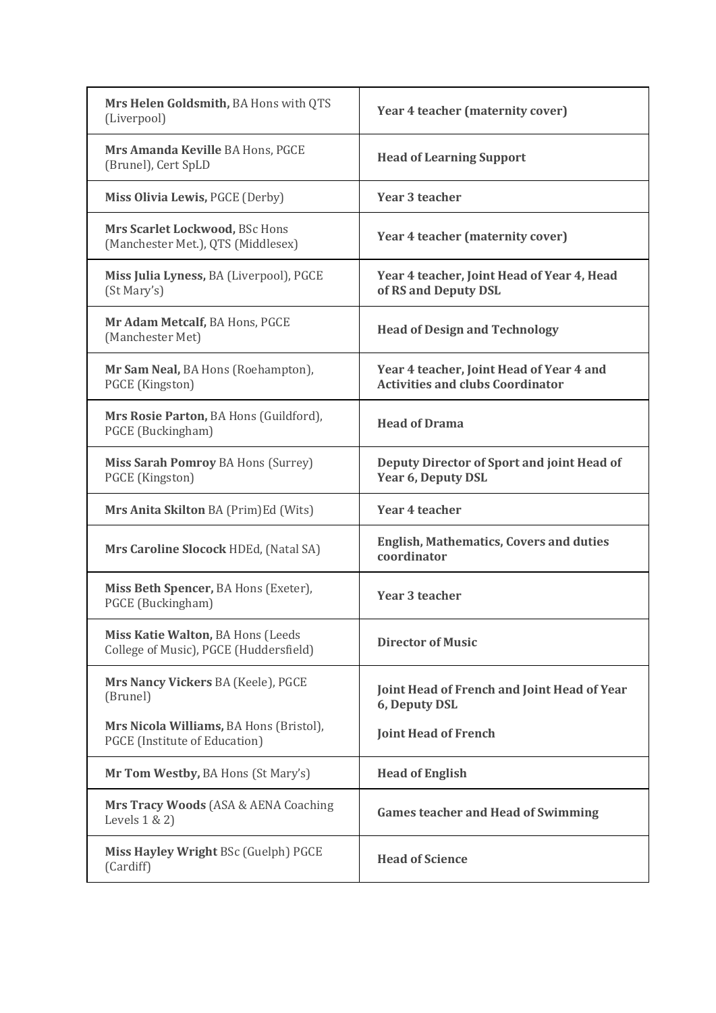| Mrs Helen Goldsmith, BA Hons with QTS<br>(Liverpool)                            | Year 4 teacher (maternity cover)                                                    |
|---------------------------------------------------------------------------------|-------------------------------------------------------------------------------------|
| Mrs Amanda Keville BA Hons, PGCE<br>(Brunel), Cert SpLD                         | <b>Head of Learning Support</b>                                                     |
| Miss Olivia Lewis, PGCE (Derby)                                                 | <b>Year 3 teacher</b>                                                               |
| Mrs Scarlet Lockwood, BSc Hons<br>(Manchester Met.), QTS (Middlesex)            | Year 4 teacher (maternity cover)                                                    |
| Miss Julia Lyness, BA (Liverpool), PGCE<br>(St Mary's)                          | Year 4 teacher, Joint Head of Year 4, Head<br>of RS and Deputy DSL                  |
| Mr Adam Metcalf, BA Hons, PGCE<br>(Manchester Met)                              | <b>Head of Design and Technology</b>                                                |
| Mr Sam Neal, BA Hons (Roehampton),<br>PGCE (Kingston)                           | Year 4 teacher, Joint Head of Year 4 and<br><b>Activities and clubs Coordinator</b> |
| Mrs Rosie Parton, BA Hons (Guildford),<br>PGCE (Buckingham)                     | <b>Head of Drama</b>                                                                |
| <b>Miss Sarah Pomroy BA Hons (Surrey)</b><br>PGCE (Kingston)                    | Deputy Director of Sport and joint Head of<br>Year 6, Deputy DSL                    |
| Mrs Anita Skilton BA (Prim)Ed (Wits)                                            | Year 4 teacher                                                                      |
| Mrs Caroline Slocock HDEd, (Natal SA)                                           | <b>English, Mathematics, Covers and duties</b><br>coordinator                       |
| Miss Beth Spencer, BA Hons (Exeter),<br>PGCE (Buckingham)                       | <b>Year 3 teacher</b>                                                               |
| Miss Katie Walton, BA Hons (Leeds<br>College of Music), PGCE (Huddersfield)     | <b>Director of Music</b>                                                            |
| Mrs Nancy Vickers BA (Keele), PGCE<br>(Brunel)                                  | Joint Head of French and Joint Head of Year<br>6, Deputy DSL                        |
| Mrs Nicola Williams, BA Hons (Bristol),<br><b>PGCE</b> (Institute of Education) | <b>Joint Head of French</b>                                                         |
| Mr Tom Westby, BA Hons (St Mary's)                                              | <b>Head of English</b>                                                              |
| Mrs Tracy Woods (ASA & AENA Coaching<br>Levels $1 \& 2$                         | <b>Games teacher and Head of Swimming</b>                                           |
| Miss Hayley Wright BSc (Guelph) PGCE<br>(Cardiff)                               | <b>Head of Science</b>                                                              |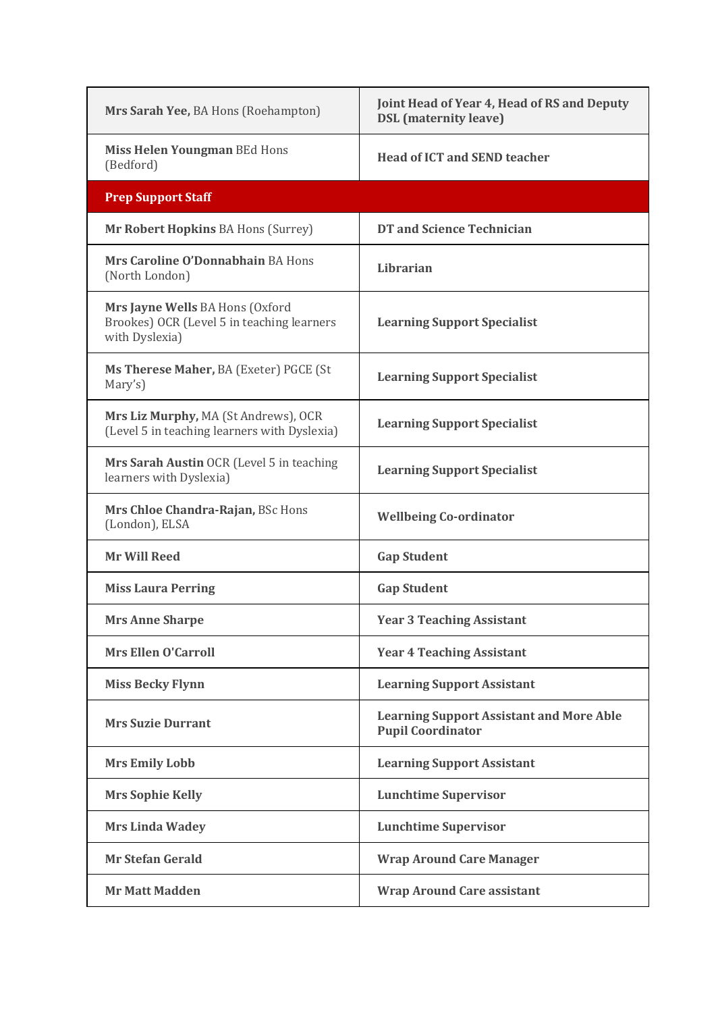| Mrs Sarah Yee, BA Hons (Roehampton)                                                             | Joint Head of Year 4, Head of RS and Deputy<br><b>DSL</b> (maternity leave) |
|-------------------------------------------------------------------------------------------------|-----------------------------------------------------------------------------|
| Miss Helen Youngman BEd Hons<br>(Bedford)                                                       | <b>Head of ICT and SEND teacher</b>                                         |
| <b>Prep Support Staff</b>                                                                       |                                                                             |
| Mr Robert Hopkins BA Hons (Surrey)                                                              | <b>DT and Science Technician</b>                                            |
| Mrs Caroline O'Donnabhain BA Hons<br>(North London)                                             | Librarian                                                                   |
| Mrs Jayne Wells BA Hons (Oxford<br>Brookes) OCR (Level 5 in teaching learners<br>with Dyslexia) | <b>Learning Support Specialist</b>                                          |
| Ms Therese Maher, BA (Exeter) PGCE (St<br>Mary's)                                               | <b>Learning Support Specialist</b>                                          |
| Mrs Liz Murphy, MA (St Andrews), OCR<br>(Level 5 in teaching learners with Dyslexia)            | <b>Learning Support Specialist</b>                                          |
| Mrs Sarah Austin OCR (Level 5 in teaching<br>learners with Dyslexia)                            | <b>Learning Support Specialist</b>                                          |
| Mrs Chloe Chandra-Rajan, BSc Hons<br>(London), ELSA                                             | <b>Wellbeing Co-ordinator</b>                                               |
| <b>Mr Will Reed</b>                                                                             | <b>Gap Student</b>                                                          |
| <b>Miss Laura Perring</b>                                                                       | <b>Gap Student</b>                                                          |
| <b>Mrs Anne Sharpe</b>                                                                          | <b>Year 3 Teaching Assistant</b>                                            |
| <b>Mrs Ellen O'Carroll</b>                                                                      | <b>Year 4 Teaching Assistant</b>                                            |
| <b>Miss Becky Flynn</b>                                                                         | <b>Learning Support Assistant</b>                                           |
| <b>Mrs Suzie Durrant</b>                                                                        | <b>Learning Support Assistant and More Able</b><br><b>Pupil Coordinator</b> |
| <b>Mrs Emily Lobb</b>                                                                           | <b>Learning Support Assistant</b>                                           |
| <b>Mrs Sophie Kelly</b>                                                                         | <b>Lunchtime Supervisor</b>                                                 |
| <b>Mrs Linda Wadey</b>                                                                          | <b>Lunchtime Supervisor</b>                                                 |
| <b>Mr Stefan Gerald</b>                                                                         | <b>Wrap Around Care Manager</b>                                             |
| <b>Mr Matt Madden</b>                                                                           | <b>Wrap Around Care assistant</b>                                           |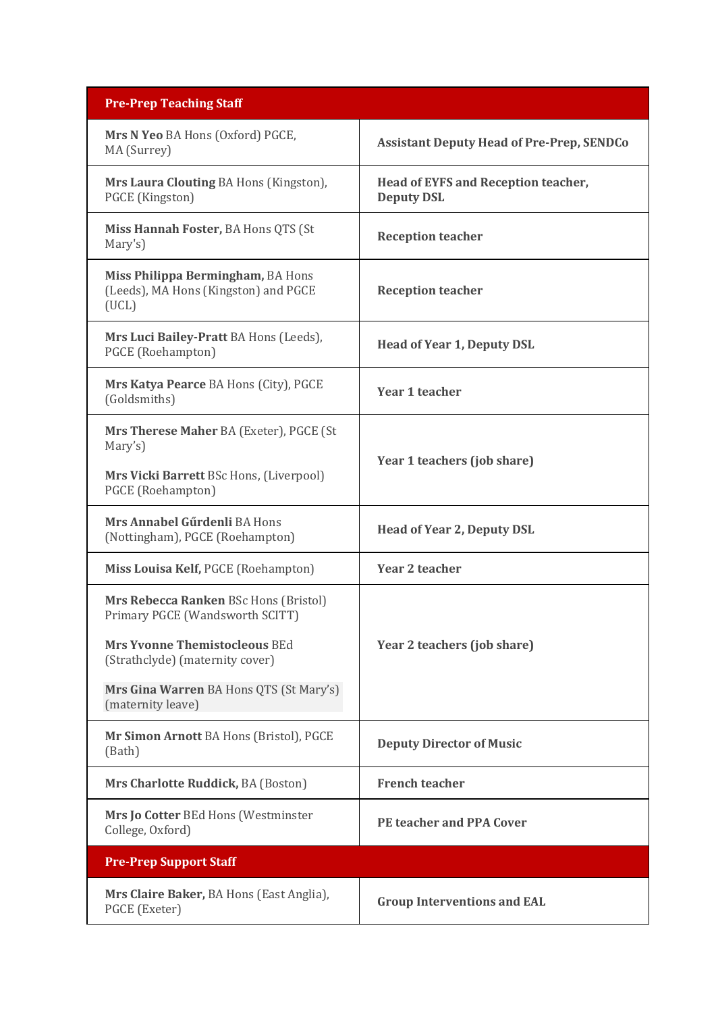| <b>Pre-Prep Teaching Staff</b>                                                                                                                                                          |                                                          |
|-----------------------------------------------------------------------------------------------------------------------------------------------------------------------------------------|----------------------------------------------------------|
| Mrs N Yeo BA Hons (Oxford) PGCE,<br>MA (Surrey)                                                                                                                                         | <b>Assistant Deputy Head of Pre-Prep, SENDCo</b>         |
| Mrs Laura Clouting BA Hons (Kingston),<br>PGCE (Kingston)                                                                                                                               | Head of EYFS and Reception teacher,<br><b>Deputy DSL</b> |
| Miss Hannah Foster, BA Hons QTS (St<br>Mary's)                                                                                                                                          | <b>Reception teacher</b>                                 |
| Miss Philippa Bermingham, BA Hons<br>(Leeds), MA Hons (Kingston) and PGCE<br>(UCL)                                                                                                      | <b>Reception teacher</b>                                 |
| Mrs Luci Bailey-Pratt BA Hons (Leeds),<br>PGCE (Roehampton)                                                                                                                             | <b>Head of Year 1, Deputy DSL</b>                        |
| Mrs Katya Pearce BA Hons (City), PGCE<br>(Goldsmiths)                                                                                                                                   | <b>Year 1 teacher</b>                                    |
| Mrs Therese Maher BA (Exeter), PGCE (St<br>Mary's)<br>Mrs Vicki Barrett BSc Hons, (Liverpool)<br>PGCE (Roehampton)                                                                      | Year 1 teachers (job share)                              |
| Mrs Annabel Gűrdenli BA Hons<br>(Nottingham), PGCE (Roehampton)                                                                                                                         | <b>Head of Year 2, Deputy DSL</b>                        |
| Miss Louisa Kelf, PGCE (Roehampton)                                                                                                                                                     | <b>Year 2 teacher</b>                                    |
| Mrs Rebecca Ranken BSc Hons (Bristol)<br>Primary PGCE (Wandsworth SCITT)<br>Mrs Yvonne Themistocleous BEd<br>(Strathclyde) (maternity cover)<br>Mrs Gina Warren BA Hons QTS (St Mary's) | Year 2 teachers (job share)                              |
| (maternity leave)                                                                                                                                                                       |                                                          |
| Mr Simon Arnott BA Hons (Bristol), PGCE<br>(Bath)                                                                                                                                       | <b>Deputy Director of Music</b>                          |
| Mrs Charlotte Ruddick, BA (Boston)                                                                                                                                                      | <b>French teacher</b>                                    |
| Mrs Jo Cotter BEd Hons (Westminster<br>College, Oxford)                                                                                                                                 | <b>PE teacher and PPA Cover</b>                          |
| <b>Pre-Prep Support Staff</b>                                                                                                                                                           |                                                          |
| Mrs Claire Baker, BA Hons (East Anglia),<br>PGCE (Exeter)                                                                                                                               | <b>Group Interventions and EAL</b>                       |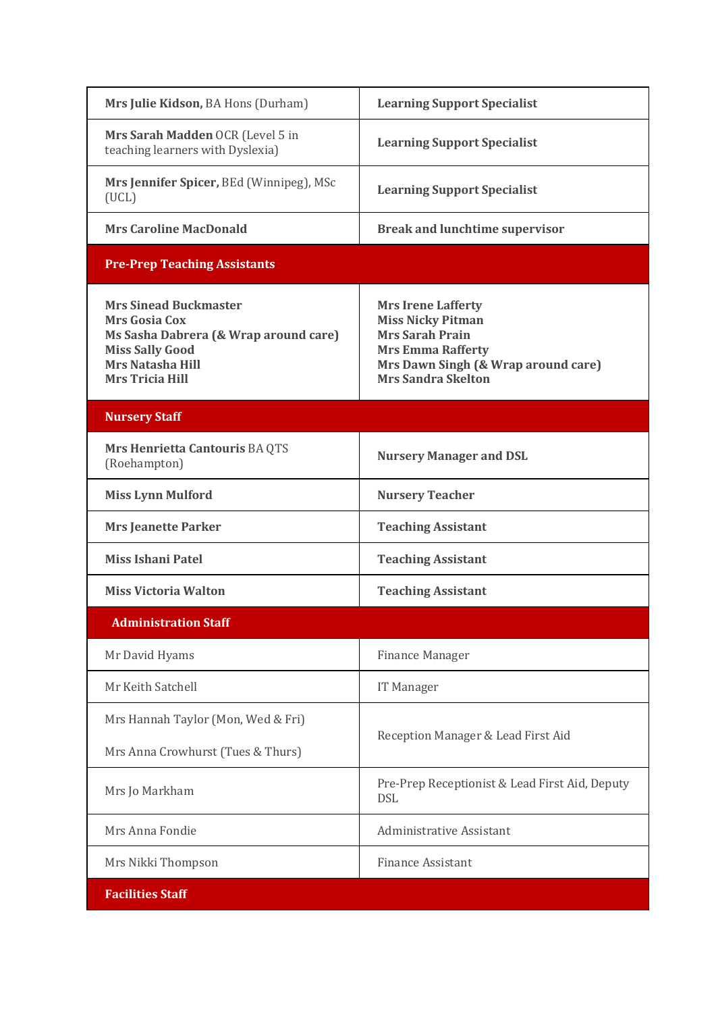| Mrs Julie Kidson, BA Hons (Durham)                                                                                                                                    | <b>Learning Support Specialist</b>                                                                                                                                              |
|-----------------------------------------------------------------------------------------------------------------------------------------------------------------------|---------------------------------------------------------------------------------------------------------------------------------------------------------------------------------|
| Mrs Sarah Madden OCR (Level 5 in<br>teaching learners with Dyslexia)                                                                                                  | <b>Learning Support Specialist</b>                                                                                                                                              |
| Mrs Jennifer Spicer, BEd (Winnipeg), MSc<br>(UCL)                                                                                                                     | <b>Learning Support Specialist</b>                                                                                                                                              |
| <b>Mrs Caroline MacDonald</b>                                                                                                                                         | <b>Break and lunchtime supervisor</b>                                                                                                                                           |
| <b>Pre-Prep Teaching Assistants</b>                                                                                                                                   |                                                                                                                                                                                 |
| <b>Mrs Sinead Buckmaster</b><br><b>Mrs Gosia Cox</b><br>Ms Sasha Dabrera (& Wrap around care)<br><b>Miss Sally Good</b><br>Mrs Natasha Hill<br><b>Mrs Tricia Hill</b> | <b>Mrs Irene Lafferty</b><br><b>Miss Nicky Pitman</b><br><b>Mrs Sarah Prain</b><br><b>Mrs Emma Rafferty</b><br>Mrs Dawn Singh (& Wrap around care)<br><b>Mrs Sandra Skelton</b> |
| <b>Nursery Staff</b>                                                                                                                                                  |                                                                                                                                                                                 |
| Mrs Henrietta Cantouris BA QTS<br>(Roehampton)                                                                                                                        | <b>Nursery Manager and DSL</b>                                                                                                                                                  |
| <b>Miss Lynn Mulford</b>                                                                                                                                              | <b>Nursery Teacher</b>                                                                                                                                                          |
| <b>Mrs Jeanette Parker</b>                                                                                                                                            | <b>Teaching Assistant</b>                                                                                                                                                       |
| <b>Miss Ishani Patel</b>                                                                                                                                              | <b>Teaching Assistant</b>                                                                                                                                                       |
| <b>Miss Victoria Walton</b>                                                                                                                                           | <b>Teaching Assistant</b>                                                                                                                                                       |
| <b>Administration Staff</b>                                                                                                                                           |                                                                                                                                                                                 |
| Mr David Hyams                                                                                                                                                        | <b>Finance Manager</b>                                                                                                                                                          |
| Mr Keith Satchell                                                                                                                                                     | IT Manager                                                                                                                                                                      |
| Mrs Hannah Taylor (Mon, Wed & Fri)                                                                                                                                    | Reception Manager & Lead First Aid                                                                                                                                              |
| Mrs Anna Crowhurst (Tues & Thurs)                                                                                                                                     |                                                                                                                                                                                 |
| Mrs Jo Markham                                                                                                                                                        | Pre-Prep Receptionist & Lead First Aid, Deputy<br><b>DSL</b>                                                                                                                    |
| Mrs Anna Fondie                                                                                                                                                       | Administrative Assistant                                                                                                                                                        |
| Mrs Nikki Thompson                                                                                                                                                    | <b>Finance Assistant</b>                                                                                                                                                        |
| <b>Facilities Staff</b>                                                                                                                                               |                                                                                                                                                                                 |